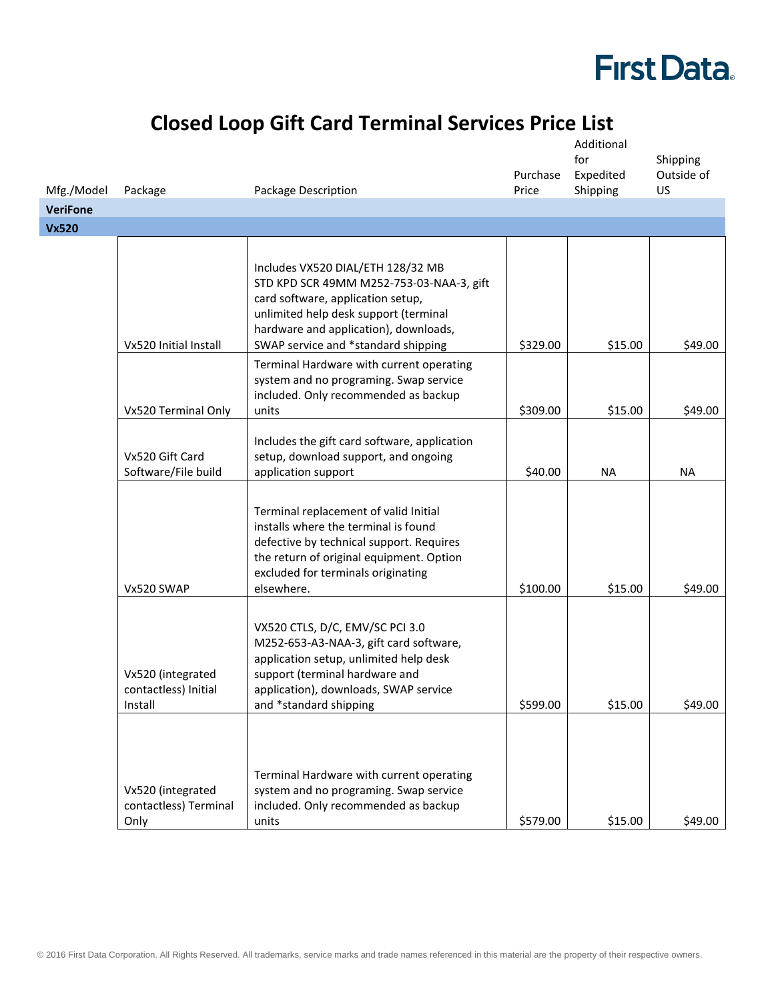# **First Data.**

### **Closed Loop Gift Card Terminal Services Price List**

|                               |                                                      |                                                                                                                                                                                                                                             | Purchase | Additional<br>for<br>Expedited | Shipping<br>Outside of |
|-------------------------------|------------------------------------------------------|---------------------------------------------------------------------------------------------------------------------------------------------------------------------------------------------------------------------------------------------|----------|--------------------------------|------------------------|
| Mfg./Model<br><b>VeriFone</b> | Package                                              | Package Description                                                                                                                                                                                                                         | Price    | Shipping                       | US                     |
| <b>Vx520</b>                  |                                                      |                                                                                                                                                                                                                                             |          |                                |                        |
|                               |                                                      |                                                                                                                                                                                                                                             |          |                                |                        |
|                               | Vx520 Initial Install                                | Includes VX520 DIAL/ETH 128/32 MB<br>STD KPD SCR 49MM M252-753-03-NAA-3, gift<br>card software, application setup,<br>unlimited help desk support (terminal<br>hardware and application), downloads,<br>SWAP service and *standard shipping | \$329.00 | \$15.00                        | \$49.00                |
|                               | Vx520 Terminal Only                                  | Terminal Hardware with current operating<br>system and no programing. Swap service<br>included. Only recommended as backup<br>units                                                                                                         | \$309.00 | \$15.00                        | \$49.00                |
|                               | Vx520 Gift Card<br>Software/File build               | Includes the gift card software, application<br>setup, download support, and ongoing<br>application support                                                                                                                                 | \$40.00  | <b>NA</b>                      | <b>NA</b>              |
|                               | Vx520 SWAP                                           | Terminal replacement of valid Initial<br>installs where the terminal is found<br>defective by technical support. Requires<br>the return of original equipment. Option<br>excluded for terminals originating<br>elsewhere.                   | \$100.00 | \$15.00                        | \$49.00                |
|                               | Vx520 (integrated<br>contactless) Initial<br>Install | VX520 CTLS, D/C, EMV/SC PCI 3.0<br>M252-653-A3-NAA-3, gift card software,<br>application setup, unlimited help desk<br>support (terminal hardware and<br>application), downloads, SWAP service<br>and *standard shipping                    | \$599.00 | \$15.00                        | \$49.00                |
|                               | Vx520 (integrated<br>contactless) Terminal<br>Only   | Terminal Hardware with current operating<br>system and no programing. Swap service<br>included. Only recommended as backup<br>units                                                                                                         | \$579.00 | \$15.00                        | \$49.00                |